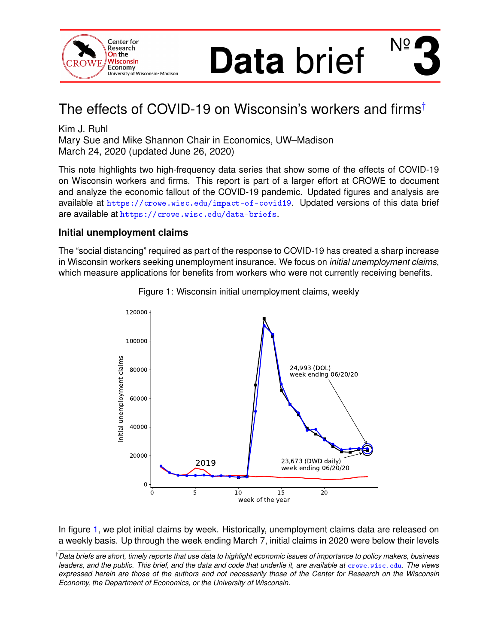<span id="page-0-1"></span>

# **Data** brief  $N<sup>o</sup>$

# The effects of COVID-19 on Wisconsin's workers and firms†

Kim J. Ruhl Mary Sue and Mike Shannon Chair in Economics, UW–Madison March 24, 2020 (updated June 26, 2020)

This note highlights two high-frequency data series that show some of the effects of COVID-19 on Wisconsin workers and firms. This report is part of a larger effort at CROWE to document and analyze the economic fallout of the COVID-19 pandemic. Updated figures and analysis are available at <https://crowe.wisc.edu/impact-of-covid19>. Updated versions of this data brief are available at <https://crowe.wisc.edu/data-briefs>.

#### **Initial unemployment claims**

<span id="page-0-0"></span>The "social distancing" required as part of the response to COVID-19 has created a sharp increase in Wisconsin workers seeking unemployment insurance. We focus on *initial unemployment claims*, which measure applications for benefits from workers who were not currently receiving benefits.



Figure 1: Wisconsin initial unemployment claims, weekly

In figure [1,](#page-0-0) we plot initial claims by week. Historically, unemployment claims data are released on a weekly basis. Up through the week ending March 7, initial claims in 2020 were below their levels

<sup>†</sup>*Data briefs are short, timely reports that use data to highlight economic issues of importance to policy makers, business leaders, and the public. This brief, and the data and code that underlie it, are available at* [crowe.wisc.edu](http://crowe.wisc.edu). *The views expressed herein are those of the authors and not necessarily those of the Center for Research on the Wisconsin Economy, the Department of Economics, or the University of Wisconsin.*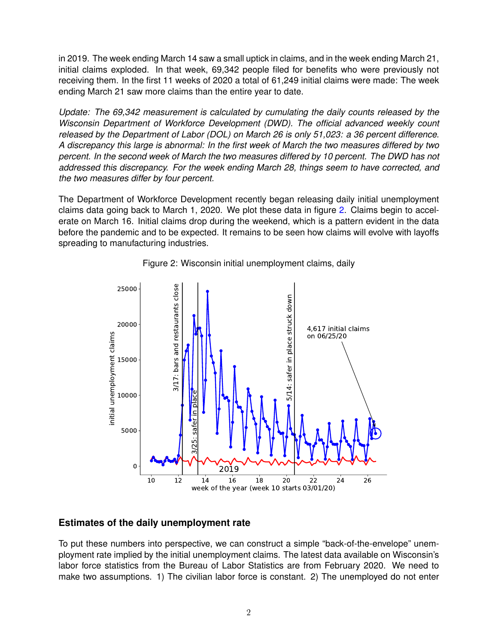in 2019. The week ending March 14 saw a small uptick in claims, and in the week ending March 21, initial claims exploded. In that week, 69,342 people filed for benefits who were previously not receiving them. In the first 11 weeks of 2020 a total of 61,249 initial claims were made: The week ending March 21 saw more claims than the entire year to date.

*Update: The 69,342 measurement is calculated by cumulating the daily counts released by the Wisconsin Department of Workforce Development (DWD). The official advanced weekly count released by the Department of Labor (DOL) on March 26 is only 51,023: a 36 percent difference. A discrepancy this large is abnormal: In the first week of March the two measures differed by two percent. In the second week of March the two measures differed by 10 percent. The DWD has not addressed this discrepancy. For the week ending March 28, things seem to have corrected, and the two measures differ by four percent.*

The Department of Workforce Development recently began releasing daily initial unemployment claims data going back to March 1, 2020. We plot these data in figure [2.](#page-1-0) Claims begin to accelerate on March 16. Initial claims drop during the weekend, which is a pattern evident in the data before the pandemic and to be expected. It remains to be seen how claims will evolve with layoffs spreading to manufacturing industries.

<span id="page-1-0"></span>



#### **Estimates of the daily unemployment rate**

To put these numbers into perspective, we can construct a simple "back-of-the-envelope" unemployment rate implied by the initial unemployment claims. The latest data available on Wisconsin's labor force statistics from the Bureau of Labor Statistics are from February 2020. We need to make two assumptions. 1) The civilian labor force is constant. 2) The unemployed do not enter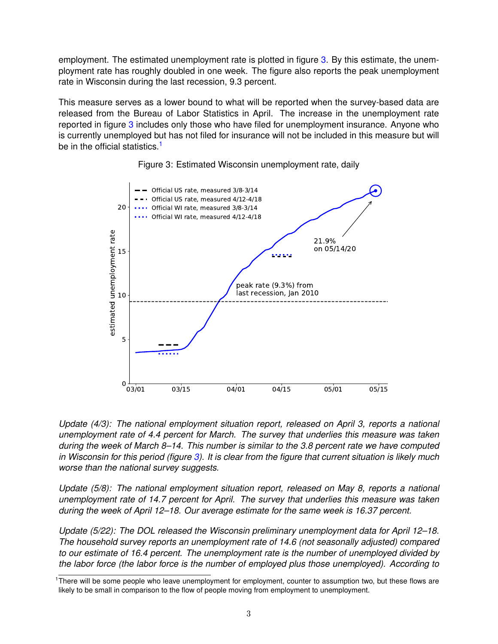employment. The estimated unemployment rate is plotted in figure [3.](#page-2-0) By this estimate, the unemployment rate has roughly doubled in one week. The figure also reports the peak unemployment rate in Wisconsin during the last recession, 9.3 percent.

This measure serves as a lower bound to what will be reported when the survey-based data are released from the Bureau of Labor Statistics in April. The increase in the unemployment rate reported in figure [3](#page-2-0) includes only those who have filed for unemployment insurance. Anyone who is currently unemployed but has not filed for insurance will not be included in this measure but will be in the official statistics.<sup>[1](#page-0-1)</sup>

<span id="page-2-0"></span>



*Update (4/3): The national employment situation report, released on April 3, reports a national unemployment rate of 4.4 percent for March. The survey that underlies this measure was taken during the week of March 8–14. This number is similar to the 3.8 percent rate we have computed in Wisconsin for this period (figure [3\)](#page-2-0). It is clear from the figure that current situation is likely much worse than the national survey suggests.*

*Update (5/8): The national employment situation report, released on May 8, reports a national unemployment rate of 14.7 percent for April. The survey that underlies this measure was taken during the week of April 12–18. Our average estimate for the same week is 16.37 percent.*

*Update (5/22): The DOL released the Wisconsin preliminary unemployment data for April 12–18. The household survey reports an unemployment rate of 14.6 (not seasonally adjusted) compared to our estimate of 16.4 percent. The unemployment rate is the number of unemployed divided by the labor force (the labor force is the number of employed plus those unemployed). According to*

<sup>&</sup>lt;sup>1</sup>There will be some people who leave unemployment for employment, counter to assumption two, but these flows are likely to be small in comparison to the flow of people moving from employment to unemployment.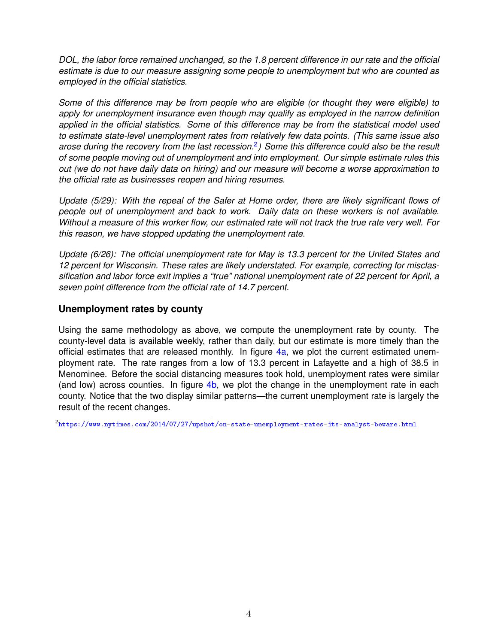*DOL, the labor force remained unchanged, so the 1.8 percent difference in our rate and the official estimate is due to our measure assigning some people to unemployment but who are counted as employed in the official statistics.*

*Some of this difference may be from people who are eligible (or thought they were eligible) to apply for unemployment insurance even though may qualify as employed in the narrow definition applied in the official statistics. Some of this difference may be from the statistical model used to estimate state-level unemployment rates from relatively few data points. (This same issue also arose during the recovery from the last recession.*[2](#page-0-1) *) Some this difference could also be the result of some people moving out of unemployment and into employment. Our simple estimate rules this out (we do not have daily data on hiring) and our measure will become a worse approximation to the official rate as businesses reopen and hiring resumes.*

*Update (5/29): With the repeal of the Safer at Home order, there are likely significant flows of people out of unemployment and back to work. Daily data on these workers is not available. Without a measure of this worker flow, our estimated rate will not track the true rate very well. For this reason, we have stopped updating the unemployment rate.*

*Update (6/26): The official unemployment rate for May is 13.3 percent for the United States and 12 percent for Wisconsin. These rates are likely understated. For example, correcting for misclassification and labor force exit implies a "true" national unemployment rate of 22 percent for April, a seven point difference from the official rate of 14.7 percent.*

### **Unemployment rates by county**

Using the same methodology as above, we compute the unemployment rate by county. The county-level data is available weekly, rather than daily, but our estimate is more timely than the official estimates that are released monthly. In figure  $4a$ , we plot the current estimated unemployment rate. The rate ranges from a low of 13.3 percent in Lafayette and a high of 38.5 in Menominee. Before the social distancing measures took hold, unemployment rates were similar (and low) across counties. In figure [4b,](#page-4-0) we plot the change in the unemployment rate in each county. Notice that the two display similar patterns—the current unemployment rate is largely the result of the recent changes.

 $^2$ <https://www.nytimes.com/2014/07/27/upshot/on-state-unemployment-rates-its-analyst-beware.html>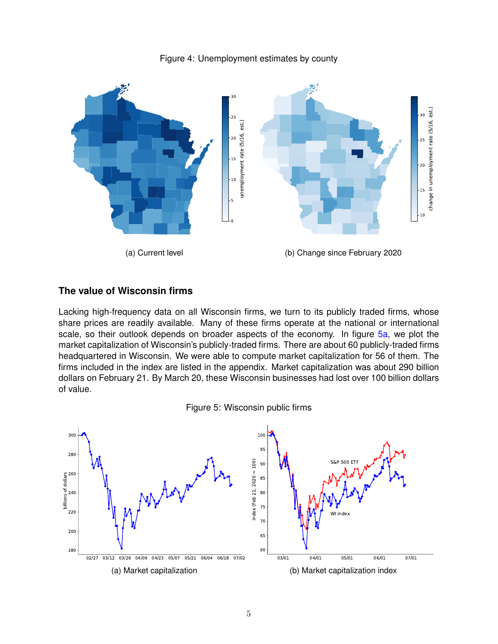

<span id="page-4-0"></span>

#### **The value of Wisconsin firms**

Lacking high-frequency data on all Wisconsin firms, we turn to its publicly traded firms, whose share prices are readily available. Many of these firms operate at the national or international scale, so their outlook depends on broader aspects of the economy. In figure [5a,](#page-4-1) we plot the market capitalization of Wisconsin's publicly-traded firms. There are about 60 publicly-traded firms headquartered in Wisconsin. We were able to compute market capitalization for 56 of them. The firms included in the index are listed in the appendix. Market capitalization was about 290 billion dollars on February 21. By March 20, these Wisconsin businesses had lost over 100 billion dollars of value.



<span id="page-4-1"></span>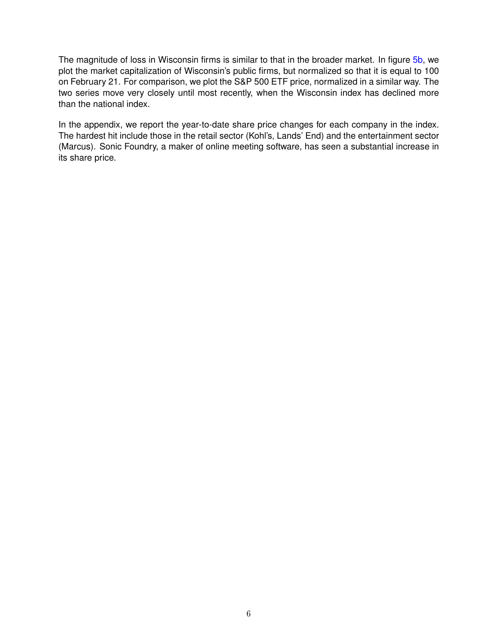The magnitude of loss in Wisconsin firms is similar to that in the broader market. In figure [5b,](#page-4-1) we plot the market capitalization of Wisconsin's public firms, but normalized so that it is equal to 100 on February 21. For comparison, we plot the S&P 500 ETF price, normalized in a similar way. The two series move very closely until most recently, when the Wisconsin index has declined more than the national index.

In the appendix, we report the year-to-date share price changes for each company in the index. The hardest hit include those in the retail sector (Kohl's, Lands' End) and the entertainment sector (Marcus). Sonic Foundry, a maker of online meeting software, has seen a substantial increase in its share price.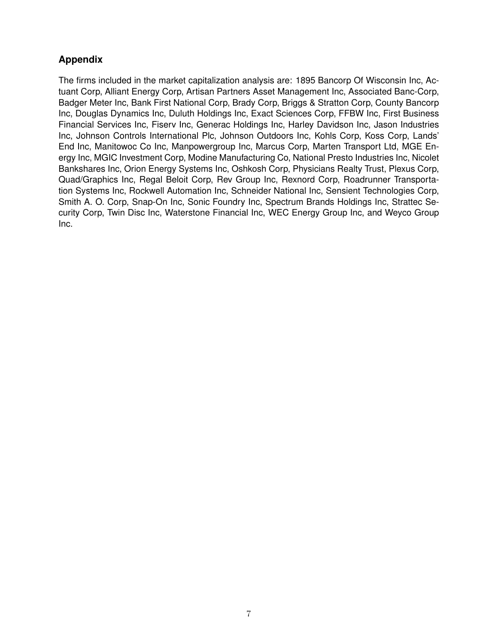## **Appendix**

The firms included in the market capitalization analysis are: 1895 Bancorp Of Wisconsin Inc, Actuant Corp, Alliant Energy Corp, Artisan Partners Asset Management Inc, Associated Banc-Corp, Badger Meter Inc, Bank First National Corp, Brady Corp, Briggs & Stratton Corp, County Bancorp Inc, Douglas Dynamics Inc, Duluth Holdings Inc, Exact Sciences Corp, FFBW Inc, First Business Financial Services Inc, Fiserv Inc, Generac Holdings Inc, Harley Davidson Inc, Jason Industries Inc, Johnson Controls International Plc, Johnson Outdoors Inc, Kohls Corp, Koss Corp, Lands' End Inc, Manitowoc Co Inc, Manpowergroup Inc, Marcus Corp, Marten Transport Ltd, MGE Energy Inc, MGIC Investment Corp, Modine Manufacturing Co, National Presto Industries Inc, Nicolet Bankshares Inc, Orion Energy Systems Inc, Oshkosh Corp, Physicians Realty Trust, Plexus Corp, Quad/Graphics Inc, Regal Beloit Corp, Rev Group Inc, Rexnord Corp, Roadrunner Transportation Systems Inc, Rockwell Automation Inc, Schneider National Inc, Sensient Technologies Corp, Smith A. O. Corp, Snap-On Inc, Sonic Foundry Inc, Spectrum Brands Holdings Inc, Strattec Security Corp, Twin Disc Inc, Waterstone Financial Inc, WEC Energy Group Inc, and Weyco Group Inc.